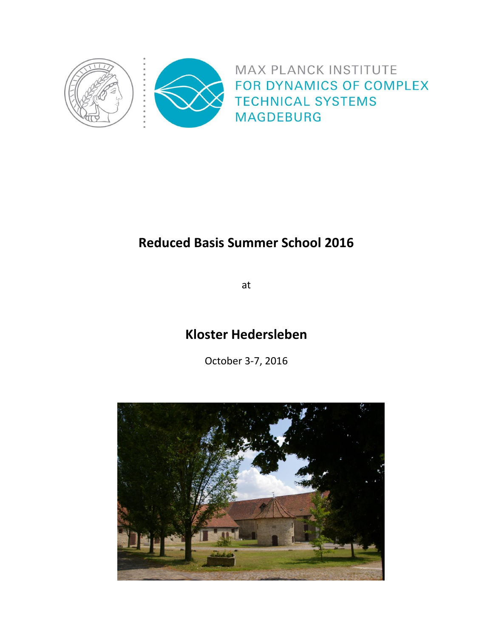

# **Reduced Basis Summer School 2016**

at

## **Kloster Hedersleben**

October 3-7, 2016

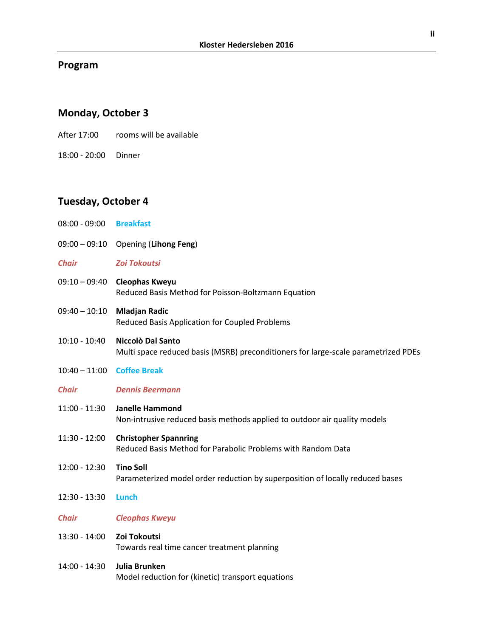#### **Program**

### **Monday, October 3**

- After 17:00 rooms will be available
- 18:00 20:00 Dinner

#### **Tuesday, October 4**

- 08:00 09:00 **Breakfast**
- 09:00 09:10 Opening (**Lihong Feng**)
- *Chair Zoi Tokoutsi*
- 09:10 09:40 **Cleophas Kweyu** Reduced Basis Method for Poisson-Boltzmann Equation
- 09:40 10:10 **Mladjan Radic** Reduced Basis Application for Coupled Problems
- 10:10 10:40 **Niccolò Dal Santo** Multi space reduced basis (MSRB) preconditioners for large-scale parametrized PDEs
- 10:40 11:00 **Coffee Break**
- *Chair Dennis Beermann*
- 11:00 11:30 **Janelle Hammond**

Non-intrusive reduced basis methods applied to outdoor air quality models

- 11:30 12:00 **Christopher Spannring** Reduced Basis Method for Parabolic Problems with Random Data
- 12:00 12:30 **Tino Soll** Parameterized model order reduction by superposition of locally reduced bases
- 12:30 13:30 **Lunch**
- *Chair Cleophas Kweyu*
- 13:30 14:00 **Zoi Tokoutsi** Towards real time cancer treatment planning
- 14:00 14:30 **Julia Brunken** Model reduction for (kinetic) transport equations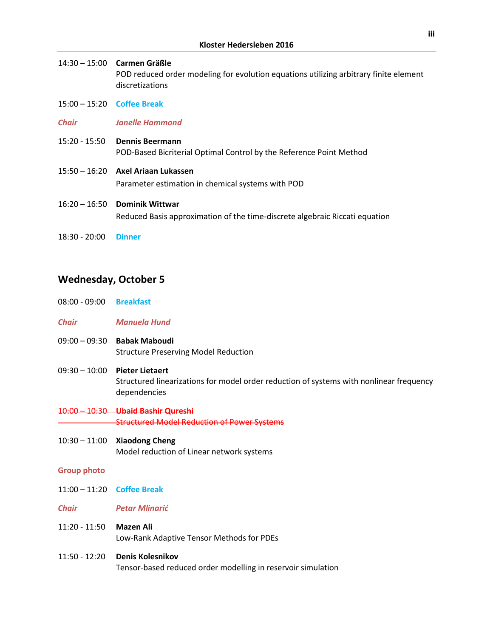|                              | 14:30 - 15:00 Carmen Gräßle<br>POD reduced order modeling for evolution equations utilizing arbitrary finite element<br>discretizations |
|------------------------------|-----------------------------------------------------------------------------------------------------------------------------------------|
| $15:00 - 15:20$ Coffee Break |                                                                                                                                         |
| <b>Chair</b>                 | <b>Janelle Hammond</b>                                                                                                                  |
| 15:20 - 15:50                | <b>Dennis Beermann</b><br>POD-Based Bicriterial Optimal Control by the Reference Point Method                                           |
|                              | $15:50 - 16:20$ Axel Ariaan Lukassen                                                                                                    |

Parameter estimation in chemical systems with POD

- 16:20 16:50 **Dominik Wittwar** Reduced Basis approximation of the time-discrete algebraic Riccati equation
- 18:30 20:00 **Dinner**

### **Wednesday, October 5**

- 08:00 09:00 **Breakfast**
- *Chair Manuela Hund*
- 09:00 09:30 **Babak Maboudi** Structure Preserving Model Reduction
- 09:30 10:00 **Pieter Lietaert** Structured linearizations for model order reduction of systems with nonlinear frequency dependencies
- 10:00 10:30 **Ubaid Bashir Qureshi** Structured Model Reduction of Power Systems
- 10:30 11:00 **Xiaodong Cheng** Model reduction of Linear network systems

#### **Group photo**

- 11:00 11:20 **Coffee Break**
- *Chair Petar Mlinarić*
- 11:20 11:50 **Mazen Ali** Low-Rank Adaptive Tensor Methods for PDEs
- 11:50 12:20 **Denis Kolesnikov** Tensor-based reduced order modelling in reservoir simulation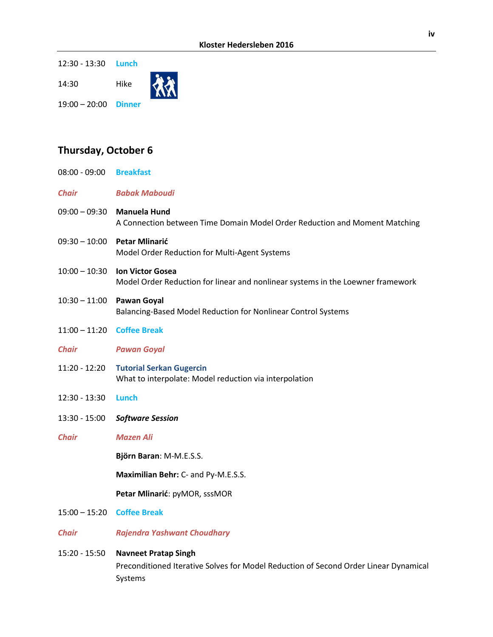12:30 - 13:30 **Lunch**

14:30 Hike



19:00 – 20:00 **Dinner**

### **Thursday, October 6**

| 08:00 - 09:00 Breakfast |                                                                                                                                |
|-------------------------|--------------------------------------------------------------------------------------------------------------------------------|
| <b>Chair</b>            | <b>Babak Maboudi</b>                                                                                                           |
| $09:00 - 09:30$         | <b>Manuela Hund</b><br>A Connection between Time Domain Model Order Reduction and Moment Matching                              |
| $09:30 - 10:00$         | <b>Petar Mlinarić</b><br>Model Order Reduction for Multi-Agent Systems                                                         |
| $10:00 - 10:30$         | <b>Ion Victor Gosea</b><br>Model Order Reduction for linear and nonlinear systems in the Loewner framework                     |
| $10:30 - 11:00$         | <b>Pawan Goyal</b><br>Balancing-Based Model Reduction for Nonlinear Control Systems                                            |
| $11:00 - 11:20$         | <b>Coffee Break</b>                                                                                                            |
| <b>Chair</b>            | <b>Pawan Goyal</b>                                                                                                             |
| $11:20 - 12:20$         | <b>Tutorial Serkan Gugercin</b><br>What to interpolate: Model reduction via interpolation                                      |
| 12:30 - 13:30           | Lunch                                                                                                                          |
| $13:30 - 15:00$         | <b>Software Session</b>                                                                                                        |
| <b>Chair</b>            | <b>Mazen Ali</b>                                                                                                               |
|                         | Björn Baran: M-M.E.S.S.                                                                                                        |
|                         | Maximilian Behr: C- and Py-M.E.S.S.                                                                                            |
|                         | Petar Mlinarić: pyMOR, sssMOR                                                                                                  |
| $15:00 - 15:20$         | <b>Coffee Break</b>                                                                                                            |
| <b>Chair</b>            | <b>Rajendra Yashwant Choudhary</b>                                                                                             |
| 15:20 - 15:50           | <b>Navneet Pratap Singh</b><br>Preconditioned Iterative Solves for Model Reduction of Second Order Linear Dynamical<br>Systems |